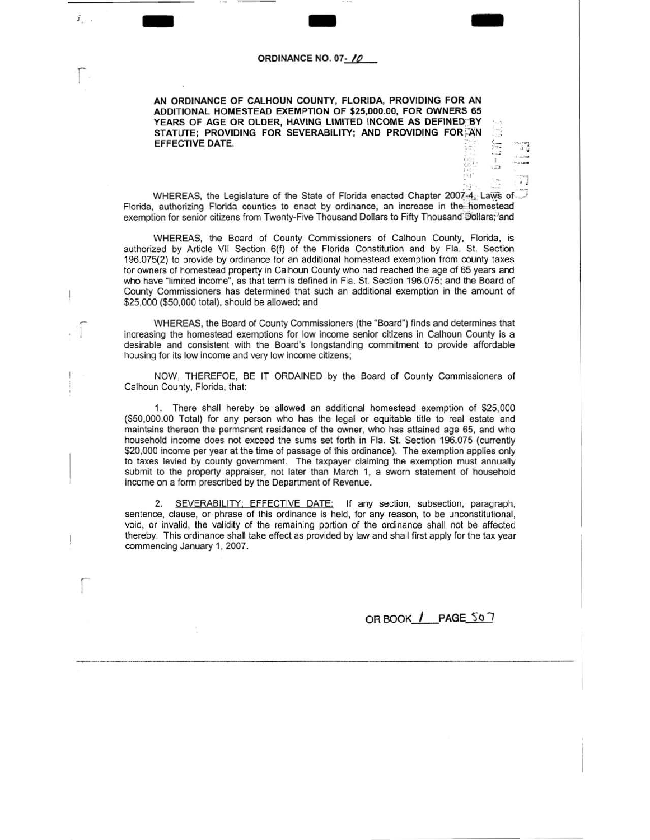## ORDINANCE NO. 07- // **ORDINANCE NO. 07-** */ 0*

r

ž.,

r

**AN ORDINANCE OF CALHOUN COUNTY, FLORIDA, PROVIDING FOR AN ADDITIONAL HOMESTEAD EXEMPTION OF \$25,000.00, FOR OWNERS 65**  YEARS OF AGE OR OLDER, HAVING LIMITED INCOME AS DEFINED BY STATUTE: PROVIDING FOR SEVERABILITY; AND PROVIDING FOR AN **EFFECTIVE DATE.** 

 $\frac{a}{2}$ .  $\frac{a}{2}$  ,  $\frac{1}{2}$ WHEREAS, the Legislature of the State of Florida enacted Chapter 2007-4, Laws of Florida, authorizing Florida counties to enact by ordinance, an increase in the homestead exemption for senior citizens from Twenty-Five Thousand Dollars to Fifty Thousand Dollars; and

WHEREAS, the Board of County Commissioners of Calhoun County, Florida, is authorized by Article VII Section 6(f) of the Florida Constitution and by Fla. St. Section 196.075(2) to provide by ordinance for an additional homestead exemption from county taxes for owners of homestead property in Calhoun County who had reached the age of 65 years and who have "limited income", as that term is defined in Fla. St. Section 196.075; and the Board of County Commissioners has determined that such an additional exemption in the amount of \$25,000 (\$50,000 total), should be allowed; and

WHEREAS, the Board of County Commissioners (the "Board") finds and determines that increasing the homestead exemptions for low income senior citizens in Calhoun County is a desirable and consistent with the Board's longstanding commitment to provide affordable housing for its low income and very low income citizens;

NOW, THEREFOE, BE IT ORDAINED by the Board of County Commissioners of Calhoun County, Florida, that:

1. There shall hereby be allowed an additional homestead exemption of \$25,000 (\$50,000.00 Total) for any person who has the legal or equitable title to real estate and maintains thereon the permanent residence of the owner, who has attained age 65, and who household income does not exceed the sums set forth in Fla. St. Section 196.075 (currently \$20,000 income per year at the time of passage of this ordinance). The exemption applies only to taxes levied by county government. The taxpayer claiming the exemption must annually submit to the property appraiser, not later than March 1, a sworn statement of household income on a form prescribed by the Department of Revenue.

2. SEVERABILITY; EFFECTIVE DATE: If any section, subsection, paragraph, sentence, clause, or phrase of this ordinance is held, for any reason, to be unconstitutional, void, or invalid, the validity of the remaining portion of the ordinance shall not be affected thereby. This ordinance shall take effect as provided by law and shall first apply for the tax year commencing January 1, 2007.

**ORBOOK** / **PAGE 50** 7

*4 1*